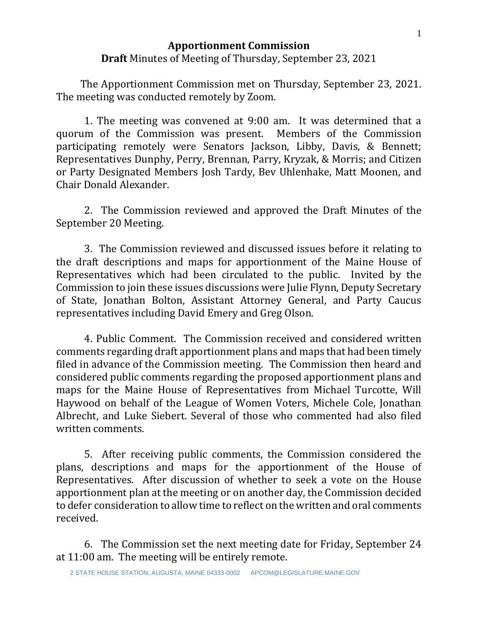## **Apportionment Commission Draft** Minutes of Meeting of Thursday, September 23, 2021

 The Apportionment Commission met on Thursday, September 23, 2021. The meeting was conducted remotely by Zoom.

1. The meeting was convened at 9:00 am. It was determined that a quorum of the Commission was present. Members of the Commission participating remotely were Senators Jackson, Libby, Davis, & Bennett; Representatives Dunphy, Perry, Brennan, Parry, Kryzak, & Morris; and Citizen or Party Designated Members Josh Tardy, Bev Uhlenhake, Matt Moonen, and Chair Donald Alexander.

2. The Commission reviewed and approved the Draft Minutes of the September 20 Meeting.

3. The Commission reviewed and discussed issues before it relating to the draft descriptions and maps for apportionment of the Maine House of Representatives which had been circulated to the public. Invited by the Commission to join these issues discussions were Julie Flynn, Deputy Secretary of State, Jonathan Bolton, Assistant Attorney General, and Party Caucus representatives including David Emery and Greg Olson.

4. Public Comment. The Commission received and considered written comments regarding draft apportionment plans and maps that had been timely filed in advance of the Commission meeting. The Commission then heard and considered public comments regarding the proposed apportionment plans and maps for the Maine House of Representatives from Michael Turcotte, Will Haywood on behalf of the League of Women Voters, Michele Cole, Jonathan Albrecht, and Luke Siebert. Several of those who commented had also filed written comments.

5. After receiving public comments, the Commission considered the plans, descriptions and maps for the apportionment of the House of Representatives. After discussion of whether to seek a vote on the House apportionment plan at the meeting or on another day, the Commission decided to defer consideration to allow time to reflect on the written and oral comments received.

6. The Commission set the next meeting date for Friday, September 24 at 11:00 am. The meeting will be entirely remote.